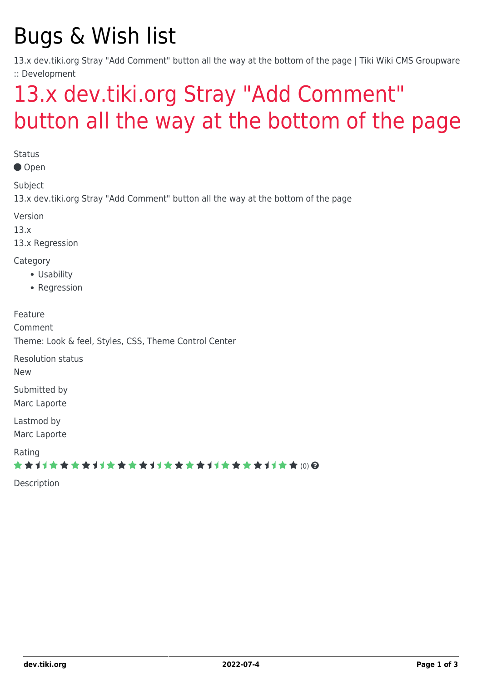# Bugs & Wish list

13.x dev.tiki.org Stray "Add Comment" button all the way at the bottom of the page | Tiki Wiki CMS Groupware :: Development

## [13.x dev.tiki.org Stray "Add Comment"](https://dev.tiki.org/item5377-13-x-dev-tiki-org-Stray-Add-Comment-button-all-the-way-at-the-bottom-of-the-page) [button all the way at the bottom of the page](https://dev.tiki.org/item5377-13-x-dev-tiki-org-Stray-Add-Comment-button-all-the-way-at-the-bottom-of-the-page)

**Status** 

Open

Subject

13.x dev.tiki.org Stray "Add Comment" button all the way at the bottom of the page

Version

13.x

13.x Regression

**Category** 

- Usability
- Regression

Feature Comment Theme: Look & feel, Styles, CSS, Theme Control Center

Resolution status

New

Submitted by Marc Laporte

Lastmod by Marc Laporte

Rating

\*\*\*\*\*\*\*\*\*\*\*\*\*\*\*\*\*\*\*\*\*\*\*\*\*\*\*\*\*\*

Description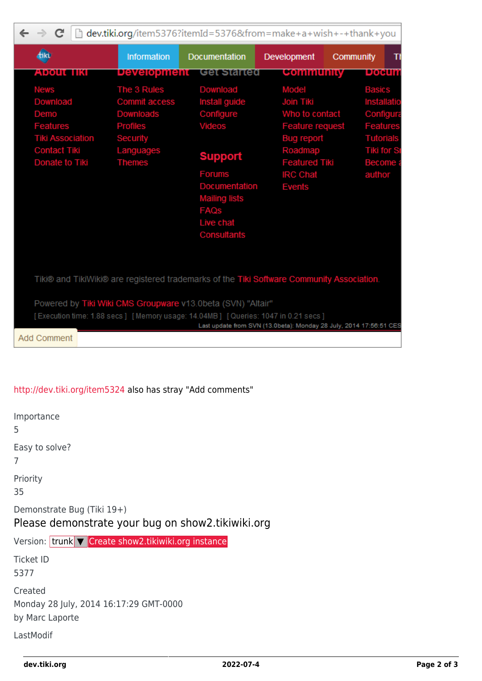| $\leftarrow \rightarrow c$<br>dev.tiki.org/item5376?itemId=5376&from=make+a+wish+-+thank+you<br>h                                                                     |                                                                                                               |                                                                                                                                                                         |                                                                                                                                                     |                                                                                                                                   |  |  |  |  |  |
|-----------------------------------------------------------------------------------------------------------------------------------------------------------------------|---------------------------------------------------------------------------------------------------------------|-------------------------------------------------------------------------------------------------------------------------------------------------------------------------|-----------------------------------------------------------------------------------------------------------------------------------------------------|-----------------------------------------------------------------------------------------------------------------------------------|--|--|--|--|--|
| dikt                                                                                                                                                                  | Information                                                                                                   | <b>Documentation</b>                                                                                                                                                    | <b>Development</b>                                                                                                                                  | Community<br>Ш                                                                                                                    |  |  |  |  |  |
| About IIKI                                                                                                                                                            | <b>Development</b>                                                                                            | Get Started                                                                                                                                                             | <b>Community</b>                                                                                                                                    | poeum                                                                                                                             |  |  |  |  |  |
| <b>News</b><br>Download<br>Demo<br><b>Features</b><br><b>Tiki Association</b><br><b>Contact Tiki</b><br>Donate to Tiki                                                | The 3 Rules<br><b>Commit access</b><br>Downloads<br><b>Profiles</b><br>Security<br>Languages<br><b>Themes</b> | Download<br>Install guide<br>Configure<br>Videos<br><b>Support</b><br><b>Forums</b><br>Documentation<br><b>Mailing lists</b><br><b>FAQS</b><br>Live chat<br>Consultants | Model<br>Join Tiki<br>Who to contact<br><b>Feature request</b><br>Bug report<br>Roadmap<br><b>Featured Tiki</b><br><b>IRC Chat</b><br><b>Events</b> | <b>Basics</b><br>Installatio<br>Configura<br><b>Features</b><br><b>Tutorials</b><br><b>Tiki for St</b><br><b>Become</b><br>author |  |  |  |  |  |
| Tiki® and TikiWiki® are registered trademarks of the Tiki Software Community Association.                                                                             |                                                                                                               |                                                                                                                                                                         |                                                                                                                                                     |                                                                                                                                   |  |  |  |  |  |
| Powered by Tiki Wiki CMS Groupware v13.0beta (SVN) "Altair"<br>[Execution time: 1.88 secs] [Memory usage: 14.04MB] [Queries: 1047 in 0.21 secs]<br><b>Add Comment</b> |                                                                                                               |                                                                                                                                                                         | Last update from SVN (13.0beta): Monday 28 July, 2014 17:56:51 CES                                                                                  |                                                                                                                                   |  |  |  |  |  |

#### <http://dev.tiki.org/item5324> also has stray "Add comments"

Importance 5 Easy to solve? 7 Priority 35 Demonstrate Bug (Tiki 19+) Please demonstrate your bug on show2.tikiwiki.org Version: trunk ▼ [Create show2.tikiwiki.org instance](#page--1-0) Ticket ID 5377 Created Monday 28 July, 2014 16:17:29 GMT-0000 by Marc Laporte LastModif